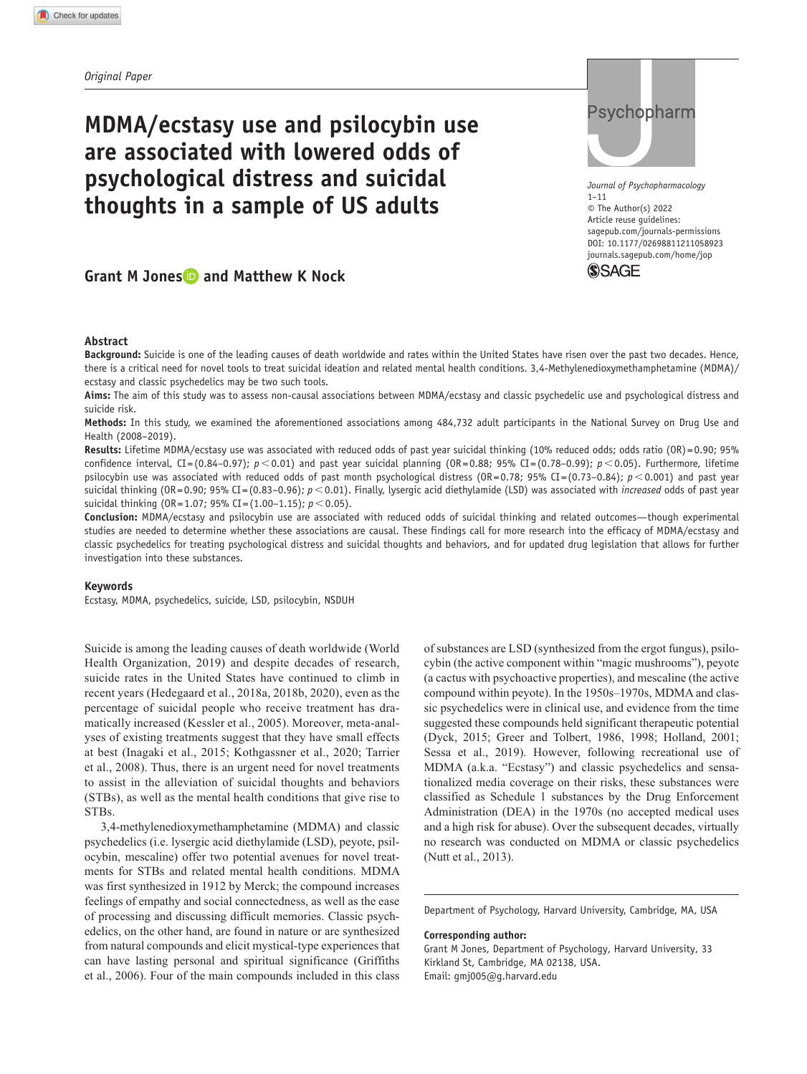# **MDMA/ecstasy use and psilocybin use are associated with lowered odds of psychological distress and suicidal thoughts in a sample of US adults**

# **Grant M Jones and Matthew K Nock**

#### **Abstract**

**Background:** Suicide is one of the leading causes of death worldwide and rates within the United States have risen over the past two decades. Hence, there is a critical need for novel tools to treat suicidal ideation and related mental health conditions. 3,4-Methylenedioxymethamphetamine (MDMA)/ ecstasy and classic psychedelics may be two such tools.

**Aims:** The aim of this study was to assess non-causal associations between MDMA/ecstasy and classic psychedelic use and psychological distress and suicide risk.

**Methods:** In this study, we examined the aforementioned associations among 484,732 adult participants in the National Survey on Drug Use and Health (2008–2019).

**Results:** Lifetime MDMA/ecstasy use was associated with reduced odds of past year suicidal thinking (10% reduced odds; odds ratio (OR) =0.90; 95% confidence interval, CI=(0.84–0.97); *p*<0.01) and past year suicidal planning (OR=0.88; 95% CI=(0.78–0.99); *p*<0.05). Furthermore, lifetime psilocybin use was associated with reduced odds of past month psychological distress  $(0R = 0.78; 95\% CI = (0.73-0.84); p < 0.001$ ) and past year suicidal thinking (OR=0.90; 95% CI=(0.83-0.96);  $p < 0.01$ ). Finally, lysergic acid diethylamide (LSD) was associated with *increased* odds of past year suicidal thinking (OR=1.07; 95% CI=(1.00–1.15); *p*<0.05).

**Conclusion:** MDMA/ecstasy and psilocybin use are associated with reduced odds of suicidal thinking and related outcomes—though experimental studies are needed to determine whether these associations are causal. These findings call for more research into the efficacy of MDMA/ecstasy and classic psychedelics for treating psychological distress and suicidal thoughts and behaviors, and for updated drug legislation that allows for further investigation into these substances.

#### **Keywords**

Ecstasy, MDMA, psychedelics, suicide, LSD, psilocybin, NSDUH

Suicide is among the leading causes of death worldwide (World Health Organization, 2019) and despite decades of research, suicide rates in the United States have continued to climb in recent years (Hedegaard et al., 2018a, 2018b, 2020), even as the percentage of suicidal people who receive treatment has dramatically increased (Kessler et al., 2005). Moreover, meta-analyses of existing treatments suggest that they have small effects at best (Inagaki et al., 2015; Kothgassner et al., 2020; Tarrier et al., 2008). Thus, there is an urgent need for novel treatments to assist in the alleviation of suicidal thoughts and behaviors (STBs), as well as the mental health conditions that give rise to STBs.

3,4-methylenedioxymethamphetamine (MDMA) and classic psychedelics (i.e. lysergic acid diethylamide (LSD), peyote, psilocybin, mescaline) offer two potential avenues for novel treatments for STBs and related mental health conditions. MDMA was first synthesized in 1912 by Merck; the compound increases feelings of empathy and social connectedness, as well as the ease of processing and discussing difficult memories. Classic psychedelics, on the other hand, are found in nature or are synthesized from natural compounds and elicit mystical-type experiences that can have lasting personal and spiritual significance (Griffiths et al., 2006). Four of the main compounds included in this class of substances are LSD (synthesized from the ergot fungus), psilocybin (the active component within "magic mushrooms"), peyote (a cactus with psychoactive properties), and mescaline (the active compound within peyote). In the 1950s–1970s, MDMA and classic psychedelics were in clinical use, and evidence from the time suggested these compounds held significant therapeutic potential (Dyck, 2015; Greer and Tolbert, 1986, 1998; Holland, 2001; Sessa et al., 2019). However, following recreational use of MDMA (a.k.a. "Ecstasy") and classic psychedelics and sensationalized media coverage on their risks, these substances were classified as Schedule 1 substances by the Drug Enforcement Administration (DEA) in the 1970s (no accepted medical uses and a high risk for abuse). Over the subsequent decades, virtually no research was conducted on MDMA or classic psychedelics (Nutt et al., 2013).

Department of Psychology, Harvard University, Cambridge, MA, USA

#### **Corresponding author:**

Grant M Jones, Department of Psychology, Harvard University, 33 Kirkland St, Cambridge, MA 02138, USA. Email: [gmj005@g.harvard.edu](mailto:gmj005@g.harvard.edu)



DOI: 10.1177/02698811211058923 *Journal of Psychopharmacology* 1–11 © The Author(s) 2022 Article reuse guidelines: [sagepub.com/journals-permissions](https://uk.sagepub.com/en-gb/journals-permissions) [journals.sagepub.com/home/jop](https://journals.sagepub.com/home/jop)

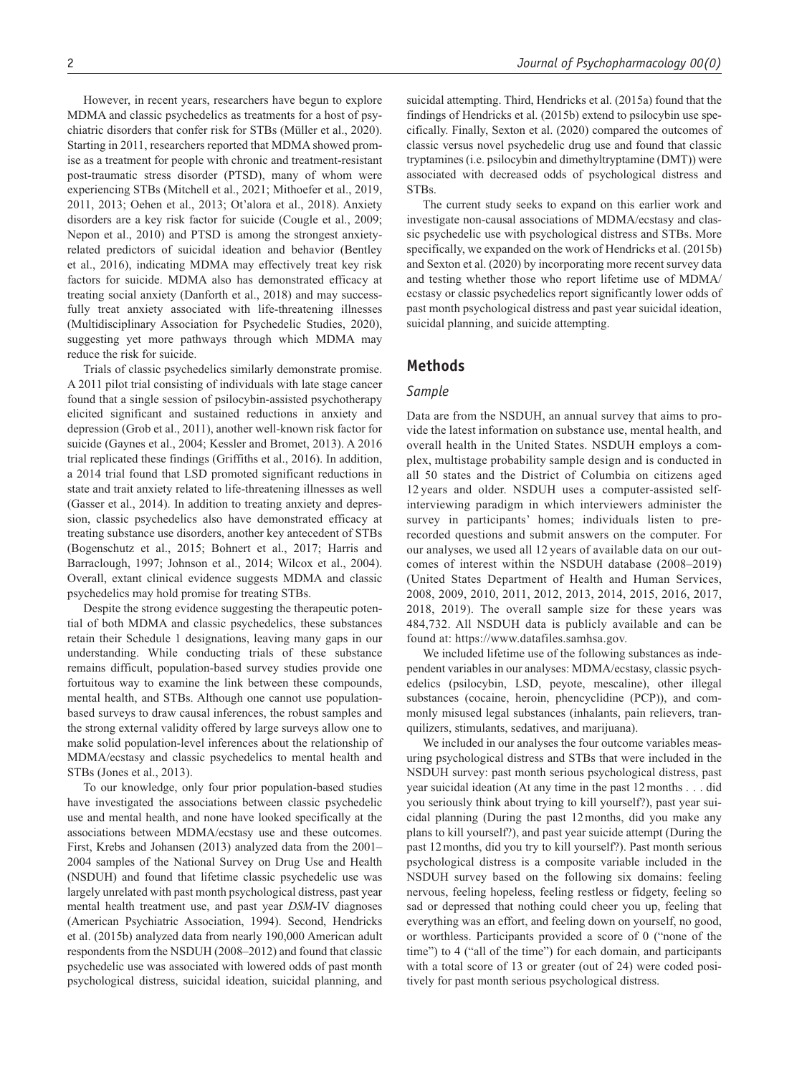However, in recent years, researchers have begun to explore MDMA and classic psychedelics as treatments for a host of psychiatric disorders that confer risk for STBs (Müller et al., 2020). Starting in 2011, researchers reported that MDMA showed promise as a treatment for people with chronic and treatment-resistant post-traumatic stress disorder (PTSD), many of whom were experiencing STBs (Mitchell et al., 2021; Mithoefer et al., 2019, 2011, 2013; Oehen et al., 2013; Ot'alora et al., 2018). Anxiety disorders are a key risk factor for suicide (Cougle et al., 2009; Nepon et al., 2010) and PTSD is among the strongest anxietyrelated predictors of suicidal ideation and behavior (Bentley et al., 2016), indicating MDMA may effectively treat key risk factors for suicide. MDMA also has demonstrated efficacy at treating social anxiety (Danforth et al., 2018) and may successfully treat anxiety associated with life-threatening illnesses (Multidisciplinary Association for Psychedelic Studies, 2020), suggesting yet more pathways through which MDMA may reduce the risk for suicide.

Trials of classic psychedelics similarly demonstrate promise. A 2011 pilot trial consisting of individuals with late stage cancer found that a single session of psilocybin-assisted psychotherapy elicited significant and sustained reductions in anxiety and depression (Grob et al., 2011), another well-known risk factor for suicide (Gaynes et al., 2004; Kessler and Bromet, 2013). A 2016 trial replicated these findings (Griffiths et al., 2016). In addition, a 2014 trial found that LSD promoted significant reductions in state and trait anxiety related to life-threatening illnesses as well (Gasser et al., 2014). In addition to treating anxiety and depression, classic psychedelics also have demonstrated efficacy at treating substance use disorders, another key antecedent of STBs (Bogenschutz et al., 2015; Bohnert et al., 2017; Harris and Barraclough, 1997; Johnson et al., 2014; Wilcox et al., 2004). Overall, extant clinical evidence suggests MDMA and classic psychedelics may hold promise for treating STBs.

Despite the strong evidence suggesting the therapeutic potential of both MDMA and classic psychedelics, these substances retain their Schedule 1 designations, leaving many gaps in our understanding. While conducting trials of these substance remains difficult, population-based survey studies provide one fortuitous way to examine the link between these compounds, mental health, and STBs. Although one cannot use populationbased surveys to draw causal inferences, the robust samples and the strong external validity offered by large surveys allow one to make solid population-level inferences about the relationship of MDMA/ecstasy and classic psychedelics to mental health and STBs (Jones et al., 2013).

To our knowledge, only four prior population-based studies have investigated the associations between classic psychedelic use and mental health, and none have looked specifically at the associations between MDMA/ecstasy use and these outcomes. First, Krebs and Johansen (2013) analyzed data from the 2001– 2004 samples of the National Survey on Drug Use and Health (NSDUH) and found that lifetime classic psychedelic use was largely unrelated with past month psychological distress, past year mental health treatment use, and past year *DSM*-IV diagnoses (American Psychiatric Association, 1994). Second, Hendricks et al. (2015b) analyzed data from nearly 190,000 American adult respondents from the NSDUH (2008–2012) and found that classic psychedelic use was associated with lowered odds of past month psychological distress, suicidal ideation, suicidal planning, and suicidal attempting. Third, Hendricks et al. (2015a) found that the findings of Hendricks et al. (2015b) extend to psilocybin use specifically. Finally, Sexton et al. (2020) compared the outcomes of classic versus novel psychedelic drug use and found that classic tryptamines (i.e. psilocybin and dimethyltryptamine (DMT)) were associated with decreased odds of psychological distress and STBs.

The current study seeks to expand on this earlier work and investigate non-causal associations of MDMA/ecstasy and classic psychedelic use with psychological distress and STBs. More specifically, we expanded on the work of Hendricks et al. (2015b) and Sexton et al. (2020) by incorporating more recent survey data and testing whether those who report lifetime use of MDMA/ ecstasy or classic psychedelics report significantly lower odds of past month psychological distress and past year suicidal ideation, suicidal planning, and suicide attempting.

## **Methods**

#### *Sample*

Data are from the NSDUH, an annual survey that aims to provide the latest information on substance use, mental health, and overall health in the United States. NSDUH employs a complex, multistage probability sample design and is conducted in all 50 states and the District of Columbia on citizens aged 12 years and older. NSDUH uses a computer-assisted selfinterviewing paradigm in which interviewers administer the survey in participants' homes; individuals listen to prerecorded questions and submit answers on the computer. For our analyses, we used all 12 years of available data on our outcomes of interest within the NSDUH database (2008–2019) (United States Department of Health and Human Services, 2008, 2009, 2010, 2011, 2012, 2013, 2014, 2015, 2016, 2017, 2018, 2019). The overall sample size for these years was 484,732. All NSDUH data is publicly available and can be found at: [https://www.datafiles.samhsa.gov.](https://www.datafiles.samhsa.gov)

We included lifetime use of the following substances as independent variables in our analyses: MDMA/ecstasy, classic psychedelics (psilocybin, LSD, peyote, mescaline), other illegal substances (cocaine, heroin, phencyclidine (PCP)), and commonly misused legal substances (inhalants, pain relievers, tranquilizers, stimulants, sedatives, and marijuana).

We included in our analyses the four outcome variables measuring psychological distress and STBs that were included in the NSDUH survey: past month serious psychological distress, past year suicidal ideation (At any time in the past 12months . . . did you seriously think about trying to kill yourself?), past year suicidal planning (During the past 12months, did you make any plans to kill yourself?), and past year suicide attempt (During the past 12months, did you try to kill yourself?). Past month serious psychological distress is a composite variable included in the NSDUH survey based on the following six domains: feeling nervous, feeling hopeless, feeling restless or fidgety, feeling so sad or depressed that nothing could cheer you up, feeling that everything was an effort, and feeling down on yourself, no good, or worthless. Participants provided a score of 0 ("none of the time") to 4 ("all of the time") for each domain, and participants with a total score of 13 or greater (out of 24) were coded positively for past month serious psychological distress.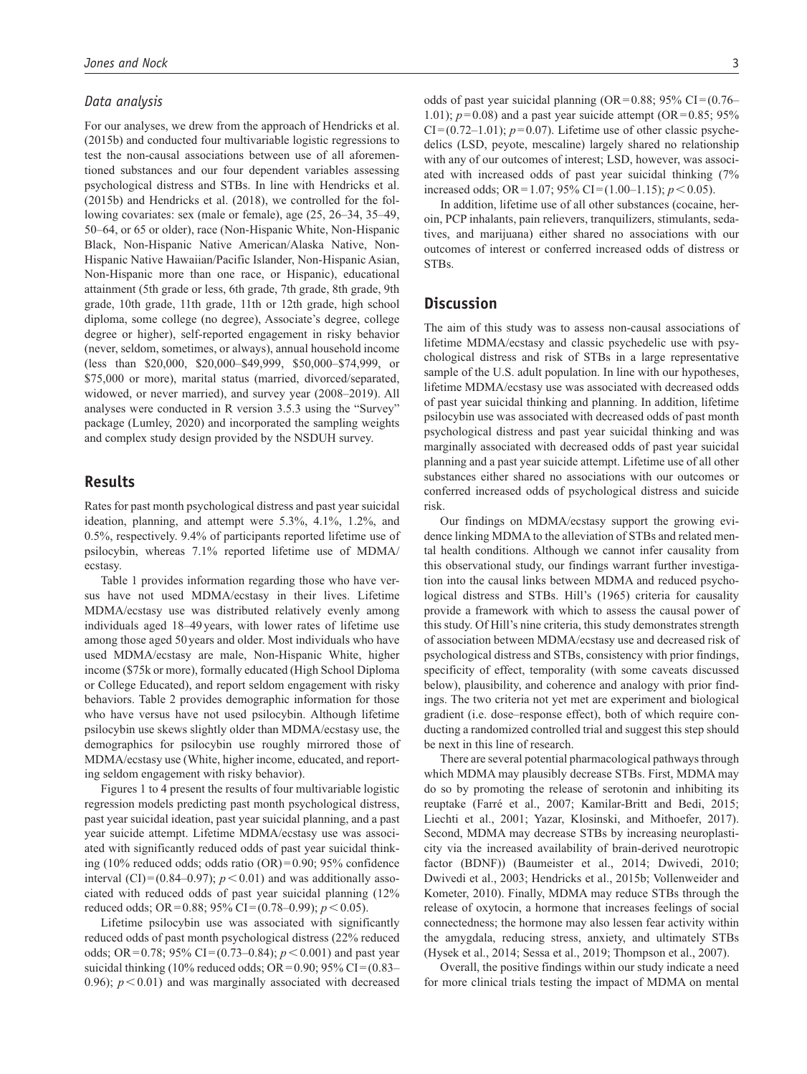#### *Data analysis*

For our analyses, we drew from the approach of Hendricks et al. (2015b) and conducted four multivariable logistic regressions to test the non-causal associations between use of all aforementioned substances and our four dependent variables assessing psychological distress and STBs. In line with Hendricks et al. (2015b) and Hendricks et al. (2018), we controlled for the following covariates: sex (male or female), age (25, 26–34, 35–49, 50–64, or 65 or older), race (Non-Hispanic White, Non-Hispanic Black, Non-Hispanic Native American/Alaska Native, Non-Hispanic Native Hawaiian/Pacific Islander, Non-Hispanic Asian, Non-Hispanic more than one race, or Hispanic), educational attainment (5th grade or less, 6th grade, 7th grade, 8th grade, 9th grade, 10th grade, 11th grade, 11th or 12th grade, high school diploma, some college (no degree), Associate's degree, college degree or higher), self-reported engagement in risky behavior (never, seldom, sometimes, or always), annual household income (less than \$20,000, \$20,000–\$49,999, \$50,000–\$74,999, or \$75,000 or more), marital status (married, divorced/separated, widowed, or never married), and survey year (2008–2019). All analyses were conducted in R version 3.5.3 using the "Survey" package (Lumley, 2020) and incorporated the sampling weights and complex study design provided by the NSDUH survey.

## **Results**

Rates for past month psychological distress and past year suicidal ideation, planning, and attempt were 5.3%, 4.1%, 1.2%, and 0.5%, respectively. 9.4% of participants reported lifetime use of psilocybin, whereas 7.1% reported lifetime use of MDMA/ ecstasy.

Table 1 provides information regarding those who have versus have not used MDMA/ecstasy in their lives. Lifetime MDMA/ecstasy use was distributed relatively evenly among individuals aged 18–49years, with lower rates of lifetime use among those aged 50 years and older. Most individuals who have used MDMA/ecstasy are male, Non-Hispanic White, higher income (\$75k or more), formally educated (High School Diploma or College Educated), and report seldom engagement with risky behaviors. Table 2 provides demographic information for those who have versus have not used psilocybin. Although lifetime psilocybin use skews slightly older than MDMA/ecstasy use, the demographics for psilocybin use roughly mirrored those of MDMA/ecstasy use (White, higher income, educated, and reporting seldom engagement with risky behavior).

Figures 1 to 4 present the results of four multivariable logistic regression models predicting past month psychological distress, past year suicidal ideation, past year suicidal planning, and a past year suicide attempt. Lifetime MDMA/ecstasy use was associated with significantly reduced odds of past year suicidal thinking (10% reduced odds; odds ratio (OR)=0.90; 95% confidence interval (CI)=(0.84–0.97);  $p < 0.01$ ) and was additionally associated with reduced odds of past year suicidal planning (12% reduced odds; OR=0.88; 95% CI=(0.78–0.99); *p*<0.05).

Lifetime psilocybin use was associated with significantly reduced odds of past month psychological distress (22% reduced odds; OR=0.78; 95% CI=(0.73–0.84); *p*<0.001) and past year suicidal thinking (10% reduced odds; OR=0.90; 95% CI= $(0.83-$ 0.96);  $p < 0.01$ ) and was marginally associated with decreased odds of past year suicidal planning (OR=0.88; 95% CI= $(0.76-$ 1.01);  $p=0.08$  and a past year suicide attempt (OR=0.85; 95%)  $CI=(0.72-1.01)$ ;  $p=0.07$ ). Lifetime use of other classic psychedelics (LSD, peyote, mescaline) largely shared no relationship with any of our outcomes of interest; LSD, however, was associated with increased odds of past year suicidal thinking (7% increased odds; OR=1.07;  $95\%$  CI=(1.00–1.15);  $p < 0.05$ ).

In addition, lifetime use of all other substances (cocaine, heroin, PCP inhalants, pain relievers, tranquilizers, stimulants, sedatives, and marijuana) either shared no associations with our outcomes of interest or conferred increased odds of distress or STBs.

## **Discussion**

The aim of this study was to assess non-causal associations of lifetime MDMA/ecstasy and classic psychedelic use with psychological distress and risk of STBs in a large representative sample of the U.S. adult population. In line with our hypotheses, lifetime MDMA/ecstasy use was associated with decreased odds of past year suicidal thinking and planning. In addition, lifetime psilocybin use was associated with decreased odds of past month psychological distress and past year suicidal thinking and was marginally associated with decreased odds of past year suicidal planning and a past year suicide attempt. Lifetime use of all other substances either shared no associations with our outcomes or conferred increased odds of psychological distress and suicide risk.

Our findings on MDMA/ecstasy support the growing evidence linking MDMA to the alleviation of STBs and related mental health conditions. Although we cannot infer causality from this observational study, our findings warrant further investigation into the causal links between MDMA and reduced psychological distress and STBs. Hill's (1965) criteria for causality provide a framework with which to assess the causal power of this study. Of Hill's nine criteria, this study demonstrates strength of association between MDMA/ecstasy use and decreased risk of psychological distress and STBs, consistency with prior findings, specificity of effect, temporality (with some caveats discussed below), plausibility, and coherence and analogy with prior findings. The two criteria not yet met are experiment and biological gradient (i.e. dose–response effect), both of which require conducting a randomized controlled trial and suggest this step should be next in this line of research.

There are several potential pharmacological pathways through which MDMA may plausibly decrease STBs. First, MDMA may do so by promoting the release of serotonin and inhibiting its reuptake (Farré et al., 2007; Kamilar-Britt and Bedi, 2015; Liechti et al., 2001; Yazar, Klosinski, and Mithoefer, 2017). Second, MDMA may decrease STBs by increasing neuroplasticity via the increased availability of brain-derived neurotropic factor (BDNF)) (Baumeister et al., 2014; Dwivedi, 2010; Dwivedi et al., 2003; Hendricks et al., 2015b; Vollenweider and Kometer, 2010). Finally, MDMA may reduce STBs through the release of oxytocin, a hormone that increases feelings of social connectedness; the hormone may also lessen fear activity within the amygdala, reducing stress, anxiety, and ultimately STBs (Hysek et al., 2014; Sessa et al., 2019; Thompson et al., 2007).

Overall, the positive findings within our study indicate a need for more clinical trials testing the impact of MDMA on mental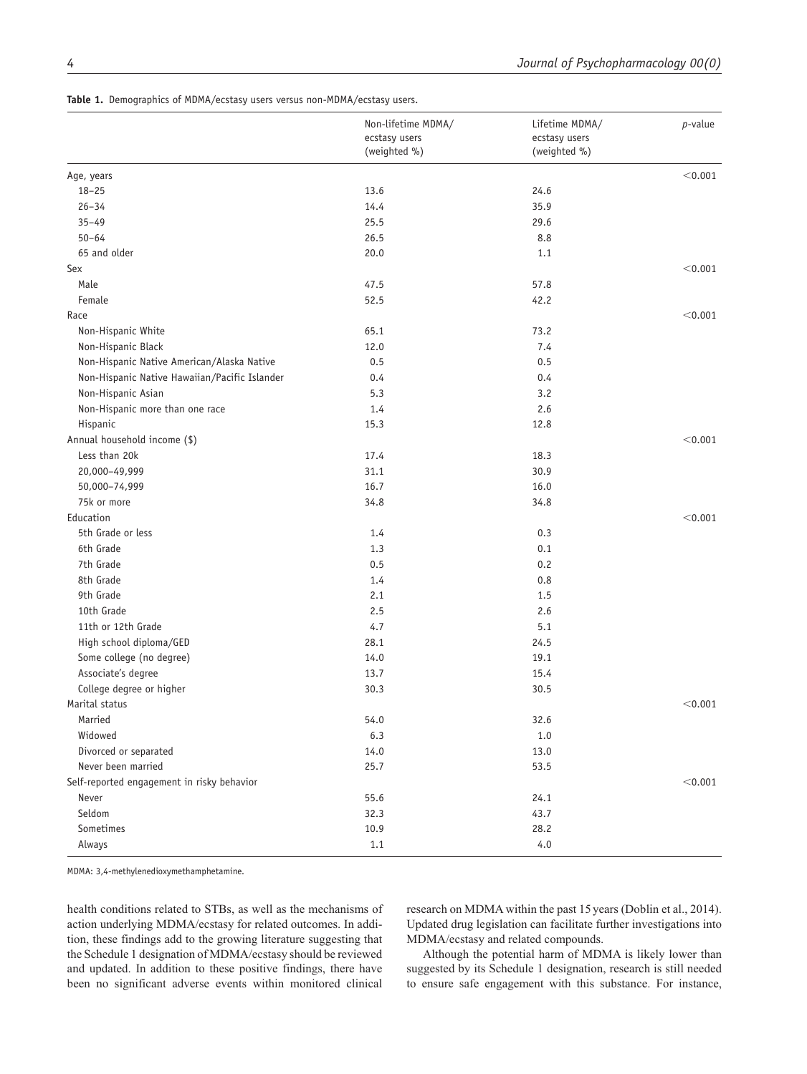**Table 1.** Demographics of MDMA/ecstasy users versus non-MDMA/ecstasy users.

|                                               | Non-lifetime MDMA/<br>ecstasy users<br>(weighted %) | Lifetime MDMA/<br>ecstasy users<br>(weighted %) | <i>p</i> -value |
|-----------------------------------------------|-----------------------------------------------------|-------------------------------------------------|-----------------|
| Age, years                                    |                                                     |                                                 | < 0.001         |
| $18 - 25$                                     | 13.6                                                | 24.6                                            |                 |
| $26 - 34$                                     | 14.4                                                | 35.9                                            |                 |
| $35 - 49$                                     | 25.5                                                | 29.6                                            |                 |
| $50 - 64$                                     | 26.5                                                | 8.8                                             |                 |
| 65 and older                                  | 20.0                                                | 1.1                                             |                 |
| Sex                                           |                                                     |                                                 | < 0.001         |
| Male                                          | 47.5                                                | 57.8                                            |                 |
| Female                                        | 52.5                                                | 42.2                                            |                 |
| Race                                          |                                                     |                                                 | < 0.001         |
| Non-Hispanic White                            | 65.1                                                | 73.2                                            |                 |
| Non-Hispanic Black                            | 12.0                                                | 7.4                                             |                 |
| Non-Hispanic Native American/Alaska Native    | 0.5                                                 | 0.5                                             |                 |
| Non-Hispanic Native Hawaiian/Pacific Islander | 0.4                                                 | 0.4                                             |                 |
| Non-Hispanic Asian                            | 5.3                                                 | 3.2                                             |                 |
| Non-Hispanic more than one race               | 1.4                                                 | 2.6                                             |                 |
| Hispanic                                      | 15.3                                                | 12.8                                            |                 |
| Annual household income (\$)                  |                                                     |                                                 | < 0.001         |
| Less than 20k                                 | 17.4                                                | 18.3                                            |                 |
| 20,000-49,999                                 | 31.1                                                | 30.9                                            |                 |
| 50,000-74,999                                 | 16.7                                                | 16.0                                            |                 |
| 75k or more                                   | 34.8                                                | 34.8                                            |                 |
| Education                                     |                                                     |                                                 | < 0.001         |
| 5th Grade or less                             | 1.4                                                 | 0.3                                             |                 |
| 6th Grade                                     | 1.3                                                 | 0.1                                             |                 |
| 7th Grade                                     | 0.5                                                 | 0.2                                             |                 |
| 8th Grade                                     | 1.4                                                 | 0.8                                             |                 |
| 9th Grade                                     | 2.1                                                 | 1.5                                             |                 |
| 10th Grade                                    | 2.5                                                 | 2.6                                             |                 |
| 11th or 12th Grade                            | 4.7                                                 | 5.1                                             |                 |
| High school diploma/GED                       | 28.1                                                | 24.5                                            |                 |
| Some college (no degree)                      | 14.0                                                | 19.1                                            |                 |
| Associate's degree                            | 13.7                                                | 15.4                                            |                 |
| College degree or higher                      | 30.3                                                | 30.5                                            |                 |
| Marital status                                |                                                     |                                                 | < 0.001         |
| Married                                       | 54.0                                                | 32.6                                            |                 |
| Widowed                                       | 6.3                                                 | $1.0$                                           |                 |
| Divorced or separated                         | 14.0                                                | 13.0                                            |                 |
| Never been married                            | 25.7                                                | 53.5                                            |                 |
| Self-reported engagement in risky behavior    |                                                     |                                                 | < 0.001         |
| Never                                         | 55.6                                                | 24.1                                            |                 |
| Seldom                                        | 32.3                                                | 43.7                                            |                 |
| Sometimes                                     | 10.9                                                | 28.2                                            |                 |
| Always                                        | 1.1                                                 | 4.0                                             |                 |

MDMA: 3,4-methylenedioxymethamphetamine.

health conditions related to STBs, as well as the mechanisms of action underlying MDMA/ecstasy for related outcomes. In addition, these findings add to the growing literature suggesting that the Schedule 1 designation of MDMA/ecstasy should be reviewed and updated. In addition to these positive findings, there have been no significant adverse events within monitored clinical

research on MDMA within the past 15years (Doblin et al., 2014). Updated drug legislation can facilitate further investigations into MDMA/ecstasy and related compounds.

Although the potential harm of MDMA is likely lower than suggested by its Schedule 1 designation, research is still needed to ensure safe engagement with this substance. For instance,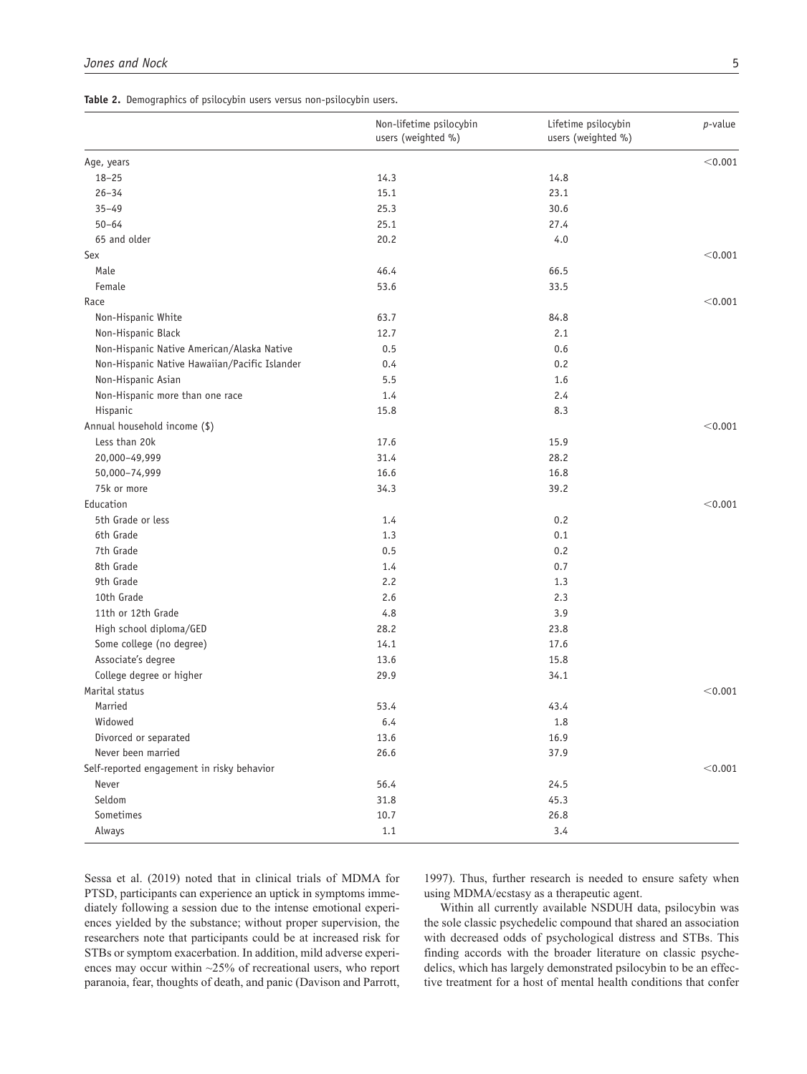**Table 2.** Demographics of psilocybin users versus non-psilocybin users.

|                                               | Non-lifetime psilocybin<br>users (weighted %) | Lifetime psilocybin<br>users (weighted %) | p-value |
|-----------------------------------------------|-----------------------------------------------|-------------------------------------------|---------|
| Age, years                                    |                                               |                                           | < 0.001 |
| $18 - 25$                                     | 14.3                                          | 14.8                                      |         |
| $26 - 34$                                     | 15.1                                          | 23.1                                      |         |
| $35 - 49$                                     | 25.3                                          | 30.6                                      |         |
| $50 - 64$                                     | 25.1                                          | 27.4                                      |         |
| 65 and older                                  | 20.2                                          | 4.0                                       |         |
| Sex                                           |                                               |                                           | < 0.001 |
| Male                                          | 46.4                                          | 66.5                                      |         |
| Female                                        | 53.6                                          | 33.5                                      |         |
| Race                                          |                                               |                                           | < 0.001 |
| Non-Hispanic White                            | 63.7                                          | 84.8                                      |         |
| Non-Hispanic Black                            | 12.7                                          | 2.1                                       |         |
| Non-Hispanic Native American/Alaska Native    | 0.5                                           | 0.6                                       |         |
| Non-Hispanic Native Hawaiian/Pacific Islander | 0.4                                           | 0.2                                       |         |
| Non-Hispanic Asian                            | 5.5                                           | 1.6                                       |         |
| Non-Hispanic more than one race               | 1.4                                           | 2.4                                       |         |
| Hispanic                                      | 15.8                                          | 8.3                                       |         |
| Annual household income (\$)                  |                                               |                                           | < 0.001 |
| Less than 20k                                 | 17.6                                          | 15.9                                      |         |
| 20,000-49,999                                 | 31.4                                          | 28.2                                      |         |
| 50,000-74,999                                 | 16.6                                          | 16.8                                      |         |
| 75k or more                                   | 34.3                                          | 39.2                                      |         |
| Education                                     |                                               |                                           | < 0.001 |
| 5th Grade or less                             | 1.4                                           | 0.2                                       |         |
| 6th Grade                                     | 1.3                                           | 0.1                                       |         |
| 7th Grade                                     | 0.5                                           | 0.2                                       |         |
| 8th Grade                                     | 1.4                                           | 0.7                                       |         |
| 9th Grade                                     | 2.2                                           | 1.3                                       |         |
| 10th Grade                                    | 2.6                                           | 2.3                                       |         |
| 11th or 12th Grade                            | 4.8                                           | 3.9                                       |         |
| High school diploma/GED                       | 28.2                                          | 23.8                                      |         |
| Some college (no degree)                      | 14.1                                          | 17.6                                      |         |
| Associate's degree                            | 13.6                                          | 15.8                                      |         |
| College degree or higher                      | 29.9                                          | 34.1                                      |         |
| Marital status                                |                                               |                                           | < 0.001 |
| Married                                       | 53.4                                          | 43.4                                      |         |
| Widowed                                       | 6.4                                           | 1.8                                       |         |
| Divorced or separated                         | 13.6                                          | 16.9                                      |         |
| Never been married                            | 26.6                                          | 37.9                                      |         |
| Self-reported engagement in risky behavior    |                                               |                                           | < 0.001 |
| Never                                         | 56.4                                          | 24.5                                      |         |
| Seldom                                        | 31.8                                          | 45.3                                      |         |
| Sometimes                                     | 10.7                                          | 26.8                                      |         |
| Always                                        | 1.1                                           | 3.4                                       |         |

Sessa et al. (2019) noted that in clinical trials of MDMA for PTSD, participants can experience an uptick in symptoms immediately following a session due to the intense emotional experiences yielded by the substance; without proper supervision, the researchers note that participants could be at increased risk for STBs or symptom exacerbation. In addition, mild adverse experiences may occur within ~25% of recreational users, who report paranoia, fear, thoughts of death, and panic (Davison and Parrott,

1997). Thus, further research is needed to ensure safety when using MDMA/ecstasy as a therapeutic agent.

Within all currently available NSDUH data, psilocybin was the sole classic psychedelic compound that shared an association with decreased odds of psychological distress and STBs. This finding accords with the broader literature on classic psychedelics, which has largely demonstrated psilocybin to be an effective treatment for a host of mental health conditions that confer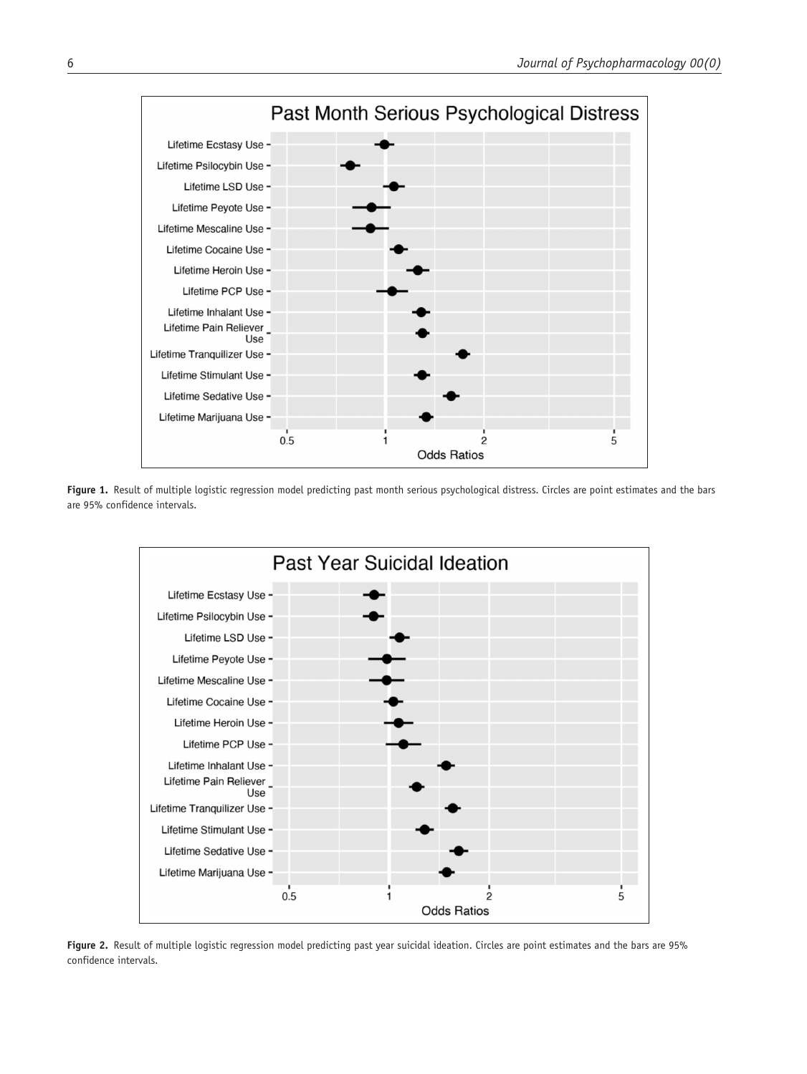

Figure 1. Result of multiple logistic regression model predicting past month serious psychological distress. Circles are point estimates and the bars are 95% confidence intervals.



Figure 2. Result of multiple logistic regression model predicting past year suicidal ideation. Circles are point estimates and the bars are 95% confidence intervals.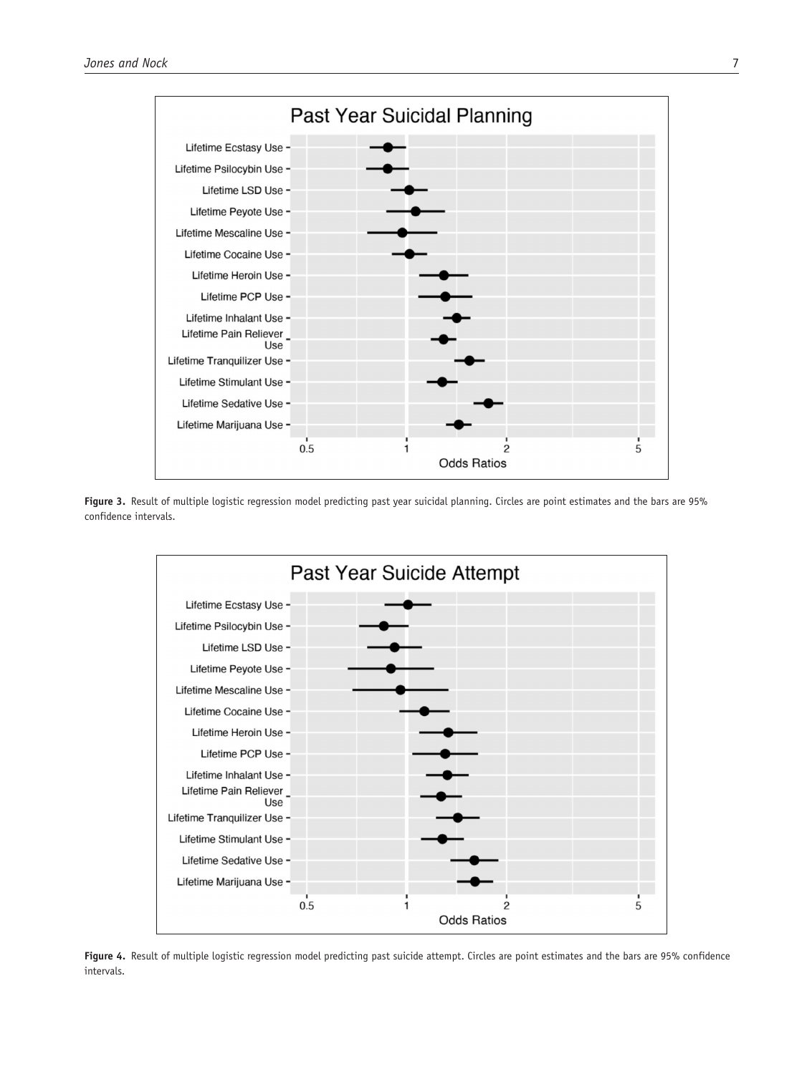

Figure 3. Result of multiple logistic regression model predicting past year suicidal planning. Circles are point estimates and the bars are 95% confidence intervals.



**Figure 4.** Result of multiple logistic regression model predicting past suicide attempt. Circles are point estimates and the bars are 95% confidence intervals.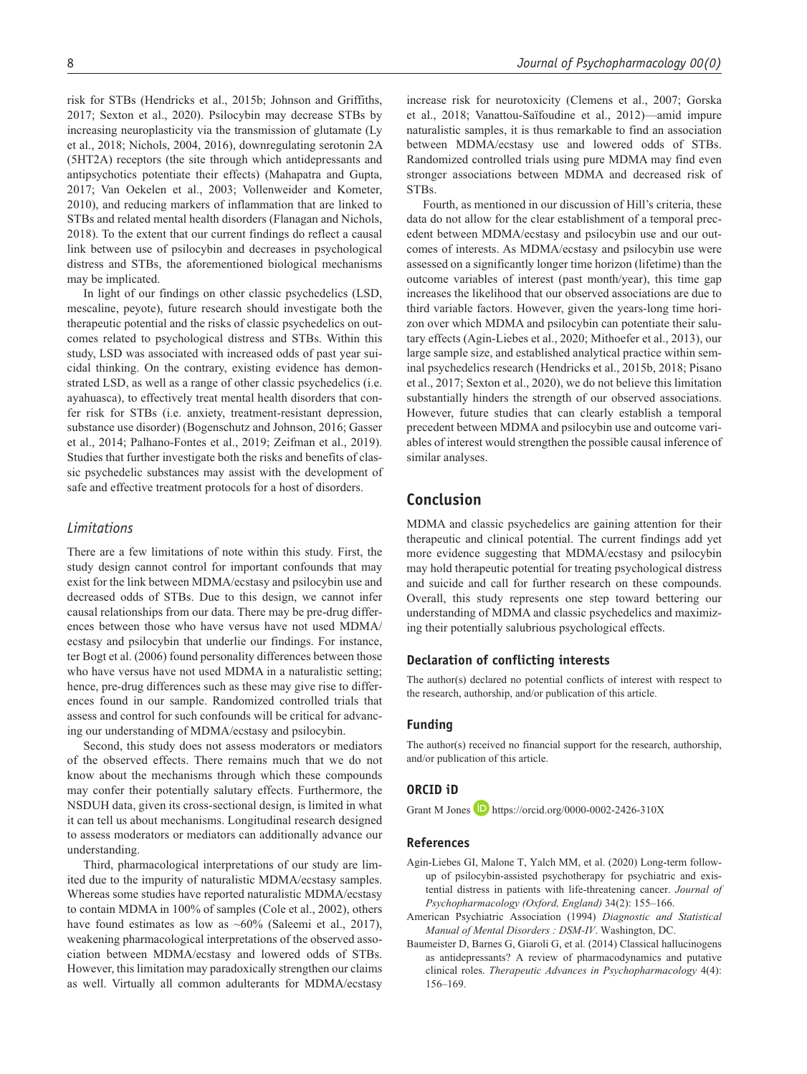risk for STBs (Hendricks et al., 2015b; Johnson and Griffiths, 2017; Sexton et al., 2020). Psilocybin may decrease STBs by increasing neuroplasticity via the transmission of glutamate (Ly et al., 2018; Nichols, 2004, 2016), downregulating serotonin 2A (5HT2A) receptors (the site through which antidepressants and antipsychotics potentiate their effects) (Mahapatra and Gupta, 2017; Van Oekelen et al., 2003; Vollenweider and Kometer, 2010), and reducing markers of inflammation that are linked to STBs and related mental health disorders (Flanagan and Nichols, 2018). To the extent that our current findings do reflect a causal link between use of psilocybin and decreases in psychological distress and STBs, the aforementioned biological mechanisms may be implicated.

In light of our findings on other classic psychedelics (LSD, mescaline, peyote), future research should investigate both the therapeutic potential and the risks of classic psychedelics on outcomes related to psychological distress and STBs. Within this study, LSD was associated with increased odds of past year suicidal thinking. On the contrary, existing evidence has demonstrated LSD, as well as a range of other classic psychedelics (i.e. ayahuasca), to effectively treat mental health disorders that confer risk for STBs (i.e. anxiety, treatment-resistant depression, substance use disorder) (Bogenschutz and Johnson, 2016; Gasser et al., 2014; Palhano-Fontes et al., 2019; Zeifman et al., 2019). Studies that further investigate both the risks and benefits of classic psychedelic substances may assist with the development of safe and effective treatment protocols for a host of disorders.

#### *Limitations*

There are a few limitations of note within this study. First, the study design cannot control for important confounds that may exist for the link between MDMA/ecstasy and psilocybin use and decreased odds of STBs. Due to this design, we cannot infer causal relationships from our data. There may be pre-drug differences between those who have versus have not used MDMA/ ecstasy and psilocybin that underlie our findings. For instance, ter Bogt et al. (2006) found personality differences between those who have versus have not used MDMA in a naturalistic setting; hence, pre-drug differences such as these may give rise to differences found in our sample. Randomized controlled trials that assess and control for such confounds will be critical for advancing our understanding of MDMA/ecstasy and psilocybin.

Second, this study does not assess moderators or mediators of the observed effects. There remains much that we do not know about the mechanisms through which these compounds may confer their potentially salutary effects. Furthermore, the NSDUH data, given its cross-sectional design, is limited in what it can tell us about mechanisms. Longitudinal research designed to assess moderators or mediators can additionally advance our understanding.

Third, pharmacological interpretations of our study are limited due to the impurity of naturalistic MDMA/ecstasy samples. Whereas some studies have reported naturalistic MDMA/ecstasy to contain MDMA in 100% of samples (Cole et al., 2002), others have found estimates as low as  $~60\%$  (Saleemi et al., 2017), weakening pharmacological interpretations of the observed association between MDMA/ecstasy and lowered odds of STBs. However, this limitation may paradoxically strengthen our claims as well. Virtually all common adulterants for MDMA/ecstasy

increase risk for neurotoxicity (Clemens et al., 2007; Gorska et al., 2018; Vanattou-Saïfoudine et al., 2012)—amid impure naturalistic samples, it is thus remarkable to find an association between MDMA/ecstasy use and lowered odds of STBs. Randomized controlled trials using pure MDMA may find even stronger associations between MDMA and decreased risk of STBs.

Fourth, as mentioned in our discussion of Hill's criteria, these data do not allow for the clear establishment of a temporal precedent between MDMA/ecstasy and psilocybin use and our outcomes of interests. As MDMA/ecstasy and psilocybin use were assessed on a significantly longer time horizon (lifetime) than the outcome variables of interest (past month/year), this time gap increases the likelihood that our observed associations are due to third variable factors. However, given the years-long time horizon over which MDMA and psilocybin can potentiate their salutary effects (Agin-Liebes et al., 2020; Mithoefer et al., 2013), our large sample size, and established analytical practice within seminal psychedelics research (Hendricks et al., 2015b, 2018; Pisano et al., 2017; Sexton et al., 2020), we do not believe this limitation substantially hinders the strength of our observed associations. However, future studies that can clearly establish a temporal precedent between MDMA and psilocybin use and outcome variables of interest would strengthen the possible causal inference of similar analyses.

# **Conclusion**

MDMA and classic psychedelics are gaining attention for their therapeutic and clinical potential. The current findings add yet more evidence suggesting that MDMA/ecstasy and psilocybin may hold therapeutic potential for treating psychological distress and suicide and call for further research on these compounds. Overall, this study represents one step toward bettering our understanding of MDMA and classic psychedelics and maximizing their potentially salubrious psychological effects.

#### **Declaration of conflicting interests**

The author(s) declared no potential conflicts of interest with respect to the research, authorship, and/or publication of this article.

#### **Funding**

The author(s) received no financial support for the research, authorship, and/or publication of this article.

## **ORCID iD**

Grant M Jones  $\Box$  <https://orcid.org/0000-0002-2426-310X>

#### **References**

- Agin-Liebes GI, Malone T, Yalch MM, et al. (2020) Long-term followup of psilocybin-assisted psychotherapy for psychiatric and existential distress in patients with life-threatening cancer. *Journal of Psychopharmacology (Oxford, England)* 34(2): 155–166.
- American Psychiatric Association (1994) *Diagnostic and Statistical Manual of Mental Disorders : DSM-IV*. Washington, DC.
- Baumeister D, Barnes G, Giaroli G, et al. (2014) Classical hallucinogens as antidepressants? A review of pharmacodynamics and putative clinical roles. *Therapeutic Advances in Psychopharmacology* 4(4): 156–169.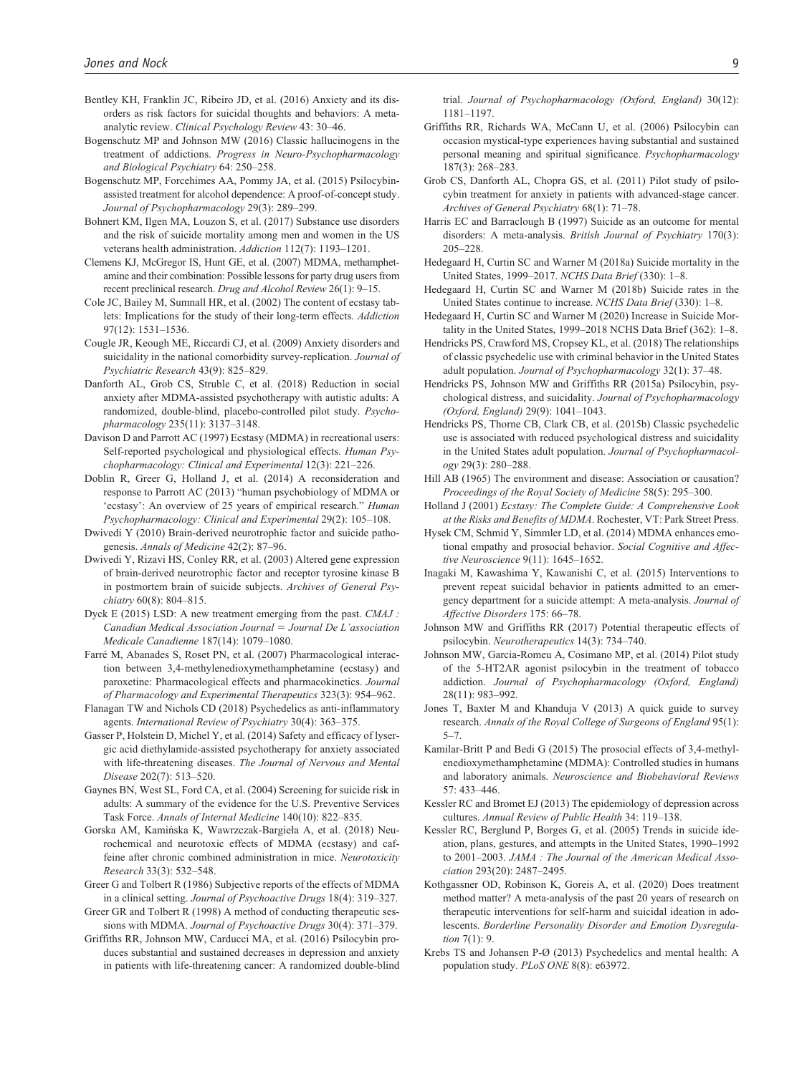- Bentley KH, Franklin JC, Ribeiro JD, et al. (2016) Anxiety and its disorders as risk factors for suicidal thoughts and behaviors: A metaanalytic review. *Clinical Psychology Review* 43: 30–46.
- Bogenschutz MP and Johnson MW (2016) Classic hallucinogens in the treatment of addictions. *Progress in Neuro-Psychopharmacology and Biological Psychiatry* 64: 250–258.
- Bogenschutz MP, Forcehimes AA, Pommy JA, et al. (2015) Psilocybinassisted treatment for alcohol dependence: A proof-of-concept study. *Journal of Psychopharmacology* 29(3): 289–299.
- Bohnert KM, Ilgen MA, Louzon S, et al. (2017) Substance use disorders and the risk of suicide mortality among men and women in the US veterans health administration. *Addiction* 112(7): 1193–1201.
- Clemens KJ, McGregor IS, Hunt GE, et al. (2007) MDMA, methamphetamine and their combination: Possible lessons for party drug users from recent preclinical research. *Drug and Alcohol Review* 26(1): 9–15.
- Cole JC, Bailey M, Sumnall HR, et al. (2002) The content of ecstasy tablets: Implications for the study of their long-term effects. *Addiction* 97(12): 1531–1536.
- Cougle JR, Keough ME, Riccardi CJ, et al. (2009) Anxiety disorders and suicidality in the national comorbidity survey-replication. *Journal of Psychiatric Research* 43(9): 825–829.
- Danforth AL, Grob CS, Struble C, et al. (2018) Reduction in social anxiety after MDMA-assisted psychotherapy with autistic adults: A randomized, double-blind, placebo-controlled pilot study. *Psychopharmacology* 235(11): 3137–3148.
- Davison D and Parrott AC (1997) Ecstasy (MDMA) in recreational users: Self-reported psychological and physiological effects. *Human Psychopharmacology: Clinical and Experimental* 12(3): 221–226.
- Doblin R, Greer G, Holland J, et al. (2014) A reconsideration and response to Parrott AC (2013) "human psychobiology of MDMA or 'ecstasy': An overview of 25 years of empirical research." *Human Psychopharmacology: Clinical and Experimental* 29(2): 105–108.
- Dwivedi Y (2010) Brain-derived neurotrophic factor and suicide pathogenesis. *Annals of Medicine* 42(2): 87–96.
- Dwivedi Y, Rizavi HS, Conley RR, et al. (2003) Altered gene expression of brain-derived neurotrophic factor and receptor tyrosine kinase B in postmortem brain of suicide subjects. *Archives of General Psychiatry* 60(8): 804–815.
- Dyck E (2015) LSD: A new treatment emerging from the past. *CMAJ : Canadian Medical Association Journal* = *Journal De L'association Medicale Canadienne* 187(14): 1079–1080.
- Farré M, Abanades S, Roset PN, et al. (2007) Pharmacological interaction between 3,4-methylenedioxymethamphetamine (ecstasy) and paroxetine: Pharmacological effects and pharmacokinetics. *Journal of Pharmacology and Experimental Therapeutics* 323(3): 954–962.
- Flanagan TW and Nichols CD (2018) Psychedelics as anti-inflammatory agents. *International Review of Psychiatry* 30(4): 363–375.
- Gasser P, Holstein D, Michel Y, et al. (2014) Safety and efficacy of lysergic acid diethylamide-assisted psychotherapy for anxiety associated with life-threatening diseases. *The Journal of Nervous and Mental Disease* 202(7): 513–520.
- Gaynes BN, West SL, Ford CA, et al. (2004) Screening for suicide risk in adults: A summary of the evidence for the U.S. Preventive Services Task Force. *Annals of Internal Medicine* 140(10): 822–835.
- Gorska AM, Kamińska K, Wawrzczak-Bargieła A, et al. (2018) Neurochemical and neurotoxic effects of MDMA (ecstasy) and caffeine after chronic combined administration in mice. *Neurotoxicity Research* 33(3): 532–548.
- Greer G and Tolbert R (1986) Subjective reports of the effects of MDMA in a clinical setting. *Journal of Psychoactive Drugs* 18(4): 319–327.
- Greer GR and Tolbert R (1998) A method of conducting therapeutic sessions with MDMA. *Journal of Psychoactive Drugs* 30(4): 371–379.
- Griffiths RR, Johnson MW, Carducci MA, et al. (2016) Psilocybin produces substantial and sustained decreases in depression and anxiety in patients with life-threatening cancer: A randomized double-blind

trial. *Journal of Psychopharmacology (Oxford, England)* 30(12): 1181–1197.

- Griffiths RR, Richards WA, McCann U, et al. (2006) Psilocybin can occasion mystical-type experiences having substantial and sustained personal meaning and spiritual significance. *Psychopharmacology* 187(3): 268–283.
- Grob CS, Danforth AL, Chopra GS, et al. (2011) Pilot study of psilocybin treatment for anxiety in patients with advanced-stage cancer. *Archives of General Psychiatry* 68(1): 71–78.
- Harris EC and Barraclough B (1997) Suicide as an outcome for mental disorders: A meta-analysis. *British Journal of Psychiatry* 170(3): 205–228.
- Hedegaard H, Curtin SC and Warner M (2018a) Suicide mortality in the United States, 1999–2017. *NCHS Data Brief* (330): 1–8.
- Hedegaard H, Curtin SC and Warner M (2018b) Suicide rates in the United States continue to increase. *NCHS Data Brief* (330): 1–8.
- Hedegaard H, Curtin SC and Warner M (2020) Increase in Suicide Mortality in the United States, 1999–2018 NCHS Data Brief (362): 1–8.
- Hendricks PS, Crawford MS, Cropsey KL, et al. (2018) The relationships of classic psychedelic use with criminal behavior in the United States adult population. *Journal of Psychopharmacology* 32(1): 37–48.
- Hendricks PS, Johnson MW and Griffiths RR (2015a) Psilocybin, psychological distress, and suicidality. *Journal of Psychopharmacology (Oxford, England)* 29(9): 1041–1043.
- Hendricks PS, Thorne CB, Clark CB, et al. (2015b) Classic psychedelic use is associated with reduced psychological distress and suicidality in the United States adult population. *Journal of Psychopharmacology* 29(3): 280–288.
- Hill AB (1965) The environment and disease: Association or causation? *Proceedings of the Royal Society of Medicine* 58(5): 295–300.
- Holland J (2001) *Ecstasy: The Complete Guide: A Comprehensive Look at the Risks and Benefits of MDMA*. Rochester, VT: Park Street Press.
- Hysek CM, Schmid Y, Simmler LD, et al. (2014) MDMA enhances emotional empathy and prosocial behavior. *Social Cognitive and Affective Neuroscience* 9(11): 1645–1652.
- Inagaki M, Kawashima Y, Kawanishi C, et al. (2015) Interventions to prevent repeat suicidal behavior in patients admitted to an emergency department for a suicide attempt: A meta-analysis. *Journal of Affective Disorders* 175: 66–78.
- Johnson MW and Griffiths RR (2017) Potential therapeutic effects of psilocybin. *Neurotherapeutics* 14(3): 734–740.
- Johnson MW, Garcia-Romeu A, Cosimano MP, et al. (2014) Pilot study of the 5-HT2AR agonist psilocybin in the treatment of tobacco addiction. *Journal of Psychopharmacology (Oxford, England)* 28(11): 983–992.
- Jones T, Baxter M and Khanduja V (2013) A quick guide to survey research. *Annals of the Royal College of Surgeons of England* 95(1): 5–7.
- Kamilar-Britt P and Bedi G (2015) The prosocial effects of 3,4-methylenedioxymethamphetamine (MDMA): Controlled studies in humans and laboratory animals. *Neuroscience and Biobehavioral Reviews* 57: 433–446.
- Kessler RC and Bromet EJ (2013) The epidemiology of depression across cultures. *Annual Review of Public Health* 34: 119–138.
- Kessler RC, Berglund P, Borges G, et al. (2005) Trends in suicide ideation, plans, gestures, and attempts in the United States, 1990–1992 to 2001–2003. *JAMA : The Journal of the American Medical Association* 293(20): 2487–2495.
- Kothgassner OD, Robinson K, Goreis A, et al. (2020) Does treatment method matter? A meta-analysis of the past 20 years of research on therapeutic interventions for self-harm and suicidal ideation in adolescents. *Borderline Personality Disorder and Emotion Dysregulation* 7(1): 9.
- Krebs TS and Johansen P-Ø (2013) Psychedelics and mental health: A population study. *PLoS ONE* 8(8): e63972.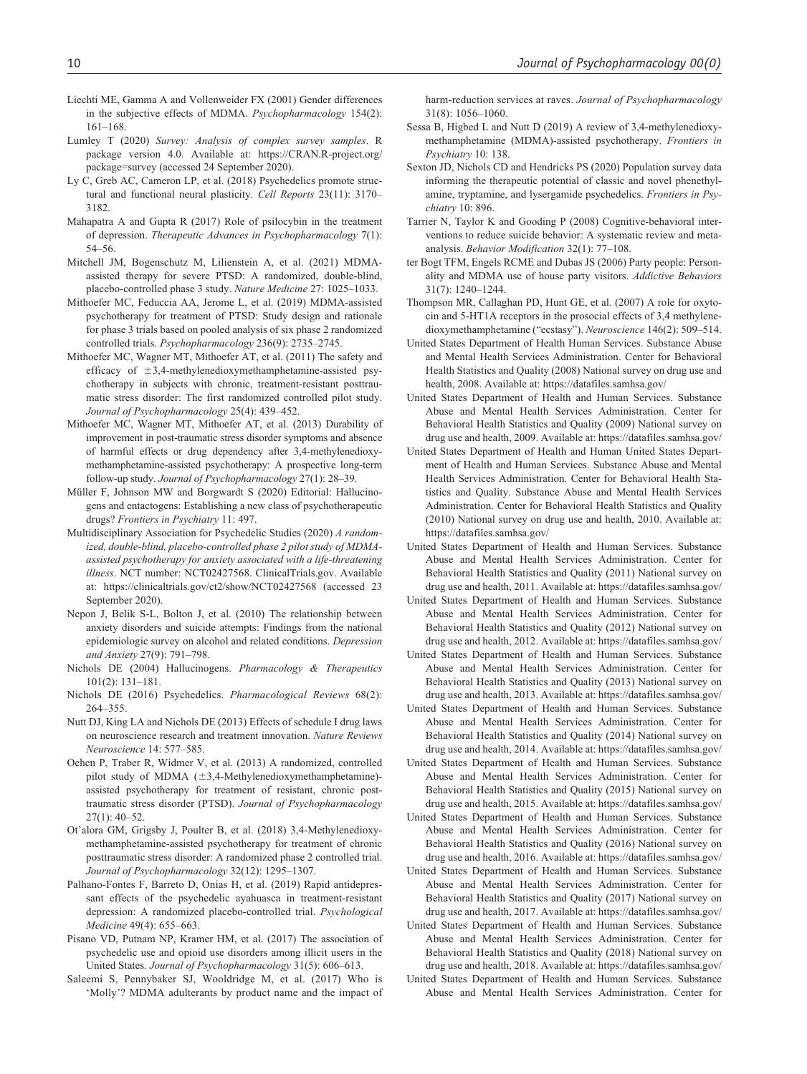- Liechti ME, Gamma A and Vollenweider FX (2001) Gender differences in the subjective effects of MDMA. *Psychopharmacology* 154(2): 161–168.
- Lumley T (2020) *Survey: Analysis of complex survey samples*. R package version 4.0. Available at: [https://CRAN.R-project.org/](https://CRAN.R-project.org/package=survey) [package=survey](https://CRAN.R-project.org/package=survey) (accessed 24 September 2020).
- Ly C, Greb AC, Cameron LP, et al. (2018) Psychedelics promote structural and functional neural plasticity. *Cell Reports* 23(11): 3170– 3182.
- Mahapatra A and Gupta R (2017) Role of psilocybin in the treatment of depression. *Therapeutic Advances in Psychopharmacology* 7(1): 54–56.
- Mitchell JM, Bogenschutz M, Lilienstein A, et al. (2021) MDMAassisted therapy for severe PTSD: A randomized, double-blind, placebo-controlled phase 3 study. *Nature Medicine* 27: 1025–1033.
- Mithoefer MC, Feduccia AA, Jerome L, et al. (2019) MDMA-assisted psychotherapy for treatment of PTSD: Study design and rationale for phase 3 trials based on pooled analysis of six phase 2 randomized controlled trials. *Psychopharmacology* 236(9): 2735–2745.
- Mithoefer MC, Wagner MT, Mithoefer AT, et al. (2011) The safety and efficacy of  $\pm 3,4$ -methylenedioxymethamphetamine-assisted psychotherapy in subjects with chronic, treatment-resistant posttraumatic stress disorder: The first randomized controlled pilot study. *Journal of Psychopharmacology* 25(4): 439–452.
- Mithoefer MC, Wagner MT, Mithoefer AT, et al. (2013) Durability of improvement in post-traumatic stress disorder symptoms and absence of harmful effects or drug dependency after 3,4-methylenedioxymethamphetamine-assisted psychotherapy: A prospective long-term follow-up study. *Journal of Psychopharmacology* 27(1): 28–39.
- Müller F, Johnson MW and Borgwardt S (2020) Editorial: Hallucinogens and entactogens: Establishing a new class of psychotherapeutic drugs? *Frontiers in Psychiatry* 11: 497.
- Multidisciplinary Association for Psychedelic Studies (2020) *A randomized, double-blind, placebo-controlled phase 2 pilot study of MDMAassisted psychotherapy for anxiety associated with a life-threatening illness*. NCT number: NCT02427568. ClinicalTrials.gov. Available at: <https://clinicaltrials.gov/ct2/show/NCT02427568>(accessed 23 September 2020).
- Nepon J, Belik S-L, Bolton J, et al. (2010) The relationship between anxiety disorders and suicide attempts: Findings from the national epidemiologic survey on alcohol and related conditions. *Depression and Anxiety* 27(9): 791–798.
- Nichols DE (2004) Hallucinogens. *Pharmacology & Therapeutics* 101(2): 131–181.
- Nichols DE (2016) Psychedelics. *Pharmacological Reviews* 68(2): 264–355.
- Nutt DJ, King LA and Nichols DE (2013) Effects of schedule I drug laws on neuroscience research and treatment innovation. *Nature Reviews Neuroscience* 14: 577–585.
- Oehen P, Traber R, Widmer V, et al. (2013) A randomized, controlled pilot study of MDMA (±3,4-Methylenedioxymethamphetamine) assisted psychotherapy for treatment of resistant, chronic posttraumatic stress disorder (PTSD). *Journal of Psychopharmacology* 27(1): 40–52.
- Ot'alora GM, Grigsby J, Poulter B, et al. (2018) 3,4-Methylenedioxymethamphetamine-assisted psychotherapy for treatment of chronic posttraumatic stress disorder: A randomized phase 2 controlled trial. *Journal of Psychopharmacology* 32(12): 1295–1307.
- Palhano-Fontes F, Barreto D, Onias H, et al. (2019) Rapid antidepressant effects of the psychedelic ayahuasca in treatment-resistant depression: A randomized placebo-controlled trial. *Psychological Medicine* 49(4): 655–663.
- Pisano VD, Putnam NP, Kramer HM, et al. (2017) The association of psychedelic use and opioid use disorders among illicit users in the United States. *Journal of Psychopharmacology* 31(5): 606–613.
- Saleemi S, Pennybaker SJ, Wooldridge M, et al. (2017) Who is 'Molly'? MDMA adulterants by product name and the impact of

harm-reduction services at raves. *Journal of Psychopharmacology* 31(8): 1056–1060.

- Sessa B, Higbed L and Nutt D (2019) A review of 3,4-methylenedioxymethamphetamine (MDMA)-assisted psychotherapy. *Frontiers in Psychiatry* 10: 138.
- Sexton JD, Nichols CD and Hendricks PS (2020) Population survey data informing the therapeutic potential of classic and novel phenethylamine, tryptamine, and lysergamide psychedelics. *Frontiers in Psychiatry* 10: 896.
- Tarrier N, Taylor K and Gooding P (2008) Cognitive-behavioral interventions to reduce suicide behavior: A systematic review and metaanalysis. *Behavior Modification* 32(1): 77–108.
- ter Bogt TFM, Engels RCME and Dubas JS (2006) Party people: Personality and MDMA use of house party visitors. *Addictive Behaviors* 31(7): 1240–1244.
- Thompson MR, Callaghan PD, Hunt GE, et al. (2007) A role for oxytocin and 5-HT1A receptors in the prosocial effects of 3,4 methylenedioxymethamphetamine ("ecstasy"). *Neuroscience* 146(2): 509–514.
- United States Department of Health Human Services. Substance Abuse and Mental Health Services Administration. Center for Behavioral Health Statistics and Quality (2008) National survey on drug use and health, 2008. Available at: <https://datafiles.samhsa.gov/>
- United States Department of Health and Human Services. Substance Abuse and Mental Health Services Administration. Center for Behavioral Health Statistics and Quality (2009) National survey on drug use and health, 2009. Available at:<https://datafiles.samhsa.gov/>
- United States Department of Health and Human United States Department of Health and Human Services. Substance Abuse and Mental Health Services Administration. Center for Behavioral Health Statistics and Quality. Substance Abuse and Mental Health Services Administration. Center for Behavioral Health Statistics and Quality (2010) National survey on drug use and health, 2010. Available at: <https://datafiles.samhsa.gov/>
- United States Department of Health and Human Services. Substance Abuse and Mental Health Services Administration. Center for Behavioral Health Statistics and Quality (2011) National survey on drug use and health, 2011. Available at:<https://datafiles.samhsa.gov/>
- United States Department of Health and Human Services. Substance Abuse and Mental Health Services Administration. Center for Behavioral Health Statistics and Quality (2012) National survey on drug use and health, 2012. Available at:<https://datafiles.samhsa.gov/>
- United States Department of Health and Human Services. Substance Abuse and Mental Health Services Administration. Center for Behavioral Health Statistics and Quality (2013) National survey on drug use and health, 2013. Available at:<https://datafiles.samhsa.gov/>
- United States Department of Health and Human Services. Substance Abuse and Mental Health Services Administration. Center for Behavioral Health Statistics and Quality (2014) National survey on drug use and health, 2014. Available at:<https://datafiles.samhsa.gov/>
- United States Department of Health and Human Services. Substance Abuse and Mental Health Services Administration. Center for Behavioral Health Statistics and Quality (2015) National survey on drug use and health, 2015. Available at:<https://datafiles.samhsa.gov/>
- United States Department of Health and Human Services. Substance Abuse and Mental Health Services Administration. Center for Behavioral Health Statistics and Quality (2016) National survey on drug use and health, 2016. Available at:<https://datafiles.samhsa.gov/>
- United States Department of Health and Human Services. Substance Abuse and Mental Health Services Administration. Center for Behavioral Health Statistics and Quality (2017) National survey on drug use and health, 2017. Available at:<https://datafiles.samhsa.gov/>
- United States Department of Health and Human Services. Substance Abuse and Mental Health Services Administration. Center for Behavioral Health Statistics and Quality (2018) National survey on drug use and health, 2018. Available at:<https://datafiles.samhsa.gov/>
- United States Department of Health and Human Services. Substance Abuse and Mental Health Services Administration. Center for